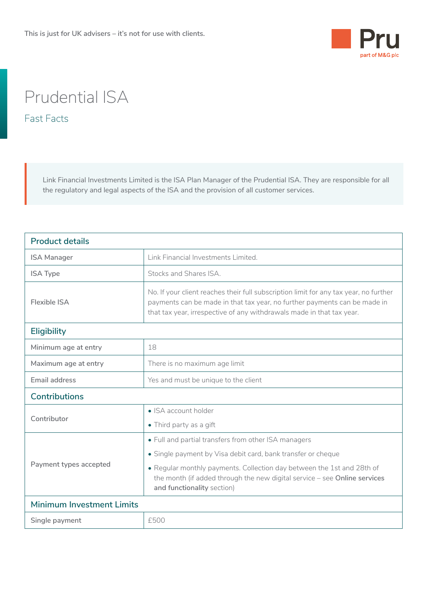

## Prudential ISA

Fast Facts

Link Financial Investments Limited is the ISA Plan Manager of the Prudential ISA. They are responsible for all the regulatory and legal aspects of the ISA and the provision of all customer services.

| <b>Product details</b>    |                                                                                                                                                                                                                                             |  |
|---------------------------|---------------------------------------------------------------------------------------------------------------------------------------------------------------------------------------------------------------------------------------------|--|
| <b>ISA Manager</b>        | Link Financial Investments Limited.                                                                                                                                                                                                         |  |
| <b>ISA Type</b>           | Stocks and Shares ISA.                                                                                                                                                                                                                      |  |
| Flexible ISA              | No. If your client reaches their full subscription limit for any tax year, no further<br>payments can be made in that tax year, no further payments can be made in<br>that tax year, irrespective of any withdrawals made in that tax year. |  |
| <b>Eligibility</b>        |                                                                                                                                                                                                                                             |  |
| Minimum age at entry      | 18                                                                                                                                                                                                                                          |  |
| Maximum age at entry      | There is no maximum age limit                                                                                                                                                                                                               |  |
| <b>Email address</b>      | Yes and must be unique to the client                                                                                                                                                                                                        |  |
| <b>Contributions</b>      |                                                                                                                                                                                                                                             |  |
| Contributor               | $\bullet$ ISA account holder                                                                                                                                                                                                                |  |
|                           | • Third party as a gift                                                                                                                                                                                                                     |  |
| Payment types accepted    | • Full and partial transfers from other ISA managers                                                                                                                                                                                        |  |
|                           | • Single payment by Visa debit card, bank transfer or cheque                                                                                                                                                                                |  |
|                           | • Regular monthly payments. Collection day between the 1st and 28th of<br>the month (if added through the new digital service $-$ see Online services<br>and functionality section)                                                         |  |
| Minimum Investment Limits |                                                                                                                                                                                                                                             |  |
| Single payment            | £500                                                                                                                                                                                                                                        |  |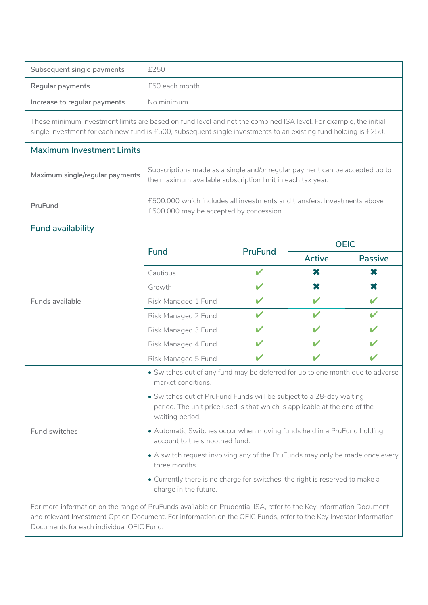| Subsequent single payments                                                                                                                                                                                                            | £250                                                                                                                                                                |                |                           |                |
|---------------------------------------------------------------------------------------------------------------------------------------------------------------------------------------------------------------------------------------|---------------------------------------------------------------------------------------------------------------------------------------------------------------------|----------------|---------------------------|----------------|
| Regular payments                                                                                                                                                                                                                      | £50 each month                                                                                                                                                      |                |                           |                |
| Increase to regular payments                                                                                                                                                                                                          | No minimum                                                                                                                                                          |                |                           |                |
| These minimum investment limits are based on fund level and not the combined ISA level. For example, the initial<br>single investment for each new fund is £500, subsequent single investments to an existing fund holding is £250.   |                                                                                                                                                                     |                |                           |                |
| <b>Maximum Investment Limits</b>                                                                                                                                                                                                      |                                                                                                                                                                     |                |                           |                |
| Maximum single/regular payments                                                                                                                                                                                                       | Subscriptions made as a single and/or regular payment can be accepted up to<br>the maximum available subscription limit in each tax year.                           |                |                           |                |
| PruFund                                                                                                                                                                                                                               | £500,000 which includes all investments and transfers. Investments above<br>£500,000 may be accepted by concession.                                                 |                |                           |                |
| <b>Fund availability</b>                                                                                                                                                                                                              |                                                                                                                                                                     |                |                           |                |
|                                                                                                                                                                                                                                       | <b>Fund</b>                                                                                                                                                         | <b>PruFund</b> | <b>OEIC</b>               |                |
|                                                                                                                                                                                                                                       |                                                                                                                                                                     |                | <b>Active</b>             | <b>Passive</b> |
|                                                                                                                                                                                                                                       | Cautious                                                                                                                                                            | $\checkmark$   | $\boldsymbol{\mathsf{x}}$ | ×              |
|                                                                                                                                                                                                                                       | Growth                                                                                                                                                              | V              | $\boldsymbol{\mathsf{x}}$ | $\mathbf x$    |
| <b>Funds available</b>                                                                                                                                                                                                                | Risk Managed 1 Fund                                                                                                                                                 | V              | V                         | V              |
|                                                                                                                                                                                                                                       | Risk Managed 2 Fund                                                                                                                                                 | V              | $\mathbf v$               | V              |
|                                                                                                                                                                                                                                       | Risk Managed 3 Fund                                                                                                                                                 | V              | V                         | $\mathbf{v}$   |
|                                                                                                                                                                                                                                       | Risk Managed 4 Fund                                                                                                                                                 | $\mathbf v$    | $\mathbf{v}$              | V              |
|                                                                                                                                                                                                                                       | Risk Managed 5 Fund                                                                                                                                                 | V              | V                         | V              |
| <b>Fund switches</b>                                                                                                                                                                                                                  | • Switches out of any fund may be deferred for up to one month due to adverse<br>market conditions.                                                                 |                |                           |                |
|                                                                                                                                                                                                                                       | • Switches out of PruFund Funds will be subject to a 28-day waiting<br>period. The unit price used is that which is applicable at the end of the<br>waiting period. |                |                           |                |
|                                                                                                                                                                                                                                       | • Automatic Switches occur when moving funds held in a PruFund holding<br>account to the smoothed fund.                                                             |                |                           |                |
|                                                                                                                                                                                                                                       | • A switch request involving any of the PruFunds may only be made once every<br>three months.                                                                       |                |                           |                |
|                                                                                                                                                                                                                                       | • Currently there is no charge for switches, the right is reserved to make a<br>charge in the future.                                                               |                |                           |                |
| For more information on the range of PruFunds available on Prudential ISA, refer to the Key Information Document<br>and relevant Investment Option Document. For information on the OEIC Funds, refer to the Key Investor Information |                                                                                                                                                                     |                |                           |                |

Documents for each individual OEIC Fund.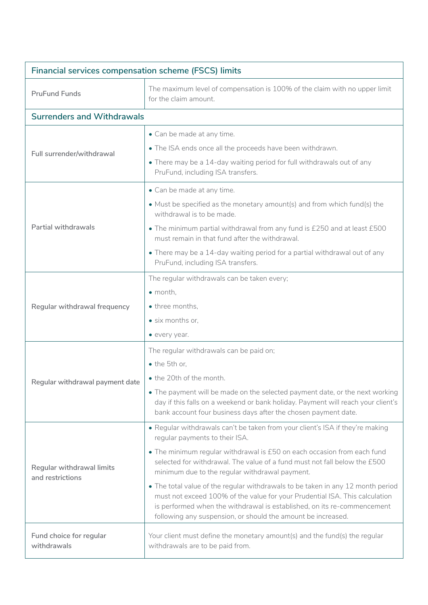| <b>Financial services compensation scheme (FSCS) limits</b> |                                                                                                                                                                                                                                                                                                           |  |
|-------------------------------------------------------------|-----------------------------------------------------------------------------------------------------------------------------------------------------------------------------------------------------------------------------------------------------------------------------------------------------------|--|
| <b>PruFund Funds</b>                                        | The maximum level of compensation is 100% of the claim with no upper limit<br>for the claim amount.                                                                                                                                                                                                       |  |
| <b>Surrenders and Withdrawals</b>                           |                                                                                                                                                                                                                                                                                                           |  |
|                                                             | • Can be made at any time.                                                                                                                                                                                                                                                                                |  |
| Full surrender/withdrawal                                   | . The ISA ends once all the proceeds have been withdrawn.                                                                                                                                                                                                                                                 |  |
|                                                             | • There may be a 14-day waiting period for full withdrawals out of any<br>PruFund, including ISA transfers.                                                                                                                                                                                               |  |
|                                                             | • Can be made at any time.                                                                                                                                                                                                                                                                                |  |
| <b>Partial withdrawals</b>                                  | • Must be specified as the monetary amount(s) and from which fund(s) the<br>withdrawal is to be made.                                                                                                                                                                                                     |  |
|                                                             | . The minimum partial withdrawal from any fund is £250 and at least £500<br>must remain in that fund after the withdrawal.                                                                                                                                                                                |  |
|                                                             | • There may be a 14-day waiting period for a partial withdrawal out of any<br>PruFund, including ISA transfers.                                                                                                                                                                                           |  |
|                                                             | The regular withdrawals can be taken every;                                                                                                                                                                                                                                                               |  |
|                                                             | $\bullet$ month,                                                                                                                                                                                                                                                                                          |  |
| Regular withdrawal frequency                                | • three months,                                                                                                                                                                                                                                                                                           |  |
|                                                             | • six months or,                                                                                                                                                                                                                                                                                          |  |
|                                                             | • every year.                                                                                                                                                                                                                                                                                             |  |
|                                                             | The regular withdrawals can be paid on;                                                                                                                                                                                                                                                                   |  |
|                                                             | • the 5th or,                                                                                                                                                                                                                                                                                             |  |
| Regular withdrawal payment date                             | • the 20th of the month.                                                                                                                                                                                                                                                                                  |  |
|                                                             | • The payment will be made on the selected payment date, or the next working<br>day if this falls on a weekend or bank holiday. Payment will reach your client's<br>bank account four business days after the chosen payment date.                                                                        |  |
| Regular withdrawal limits<br>and restrictions               | . Regular withdrawals can't be taken from your client's ISA if they're making<br>regular payments to their ISA.                                                                                                                                                                                           |  |
|                                                             | • The minimum regular withdrawal is £50 on each occasion from each fund<br>selected for withdrawal. The value of a fund must not fall below the £500<br>minimum due to the regular withdrawal payment.                                                                                                    |  |
|                                                             | • The total value of the regular withdrawals to be taken in any 12 month period<br>must not exceed 100% of the value for your Prudential ISA. This calculation<br>is performed when the withdrawal is established, on its re-commencement<br>following any suspension, or should the amount be increased. |  |
| Fund choice for regular<br>withdrawals                      | Your client must define the monetary amount(s) and the fund(s) the regular<br>withdrawals are to be paid from.                                                                                                                                                                                            |  |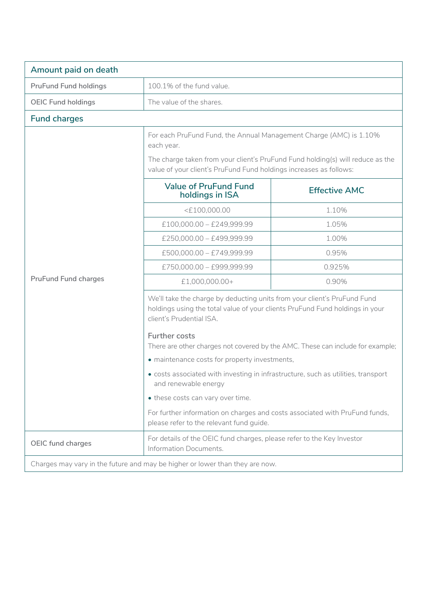| Amount paid on death                                                         |                                                                                                                                                                                                                                          |                      |  |
|------------------------------------------------------------------------------|------------------------------------------------------------------------------------------------------------------------------------------------------------------------------------------------------------------------------------------|----------------------|--|
| <b>PruFund Fund holdings</b>                                                 | 100.1% of the fund value.                                                                                                                                                                                                                |                      |  |
| <b>OEIC Fund holdings</b>                                                    | The value of the shares.                                                                                                                                                                                                                 |                      |  |
| <b>Fund charges</b>                                                          |                                                                                                                                                                                                                                          |                      |  |
|                                                                              | For each PruFund Fund, the Annual Management Charge (AMC) is 1.10%<br>each year.<br>The charge taken from your client's PruFund Fund holding(s) will reduce as the<br>value of your client's PruFund Fund holdings increases as follows: |                      |  |
|                                                                              | <b>Value of PruFund Fund</b><br>holdings in ISA                                                                                                                                                                                          | <b>Effective AMC</b> |  |
|                                                                              | $<$ £100,000.00                                                                                                                                                                                                                          | 1.10%                |  |
|                                                                              | $£100,000.00 - £249,999.99$                                                                                                                                                                                                              | 1.05%                |  |
|                                                                              | £250,000.00 - £499,999.99                                                                                                                                                                                                                | 1.00%                |  |
|                                                                              | £500,000.00 - £749,999.99                                                                                                                                                                                                                | 0.95%                |  |
|                                                                              | £750,000.00 - £999,999.99                                                                                                                                                                                                                | 0.925%               |  |
| <b>PruFund Fund charges</b>                                                  | £1,000,000.00+                                                                                                                                                                                                                           | 0.90%                |  |
|                                                                              | We'll take the charge by deducting units from your client's PruFund Fund<br>holdings using the total value of your clients PruFund Fund holdings in your<br>client's Prudential ISA.                                                     |                      |  |
|                                                                              | <b>Further costs</b><br>There are other charges not covered by the AMC. These can include for example;                                                                                                                                   |                      |  |
|                                                                              | • maintenance costs for property investments,                                                                                                                                                                                            |                      |  |
|                                                                              | • costs associated with investing in infrastructure, such as utilities, transport<br>and renewable energy                                                                                                                                |                      |  |
|                                                                              | • these costs can vary over time.                                                                                                                                                                                                        |                      |  |
|                                                                              | For further information on charges and costs associated with PruFund funds,<br>please refer to the relevant fund guide.                                                                                                                  |                      |  |
| <b>OEIC fund charges</b>                                                     | For details of the OEIC fund charges, please refer to the Key Investor<br>Information Documents.                                                                                                                                         |                      |  |
| Charges may vary in the future and may be higher or lower than they are now. |                                                                                                                                                                                                                                          |                      |  |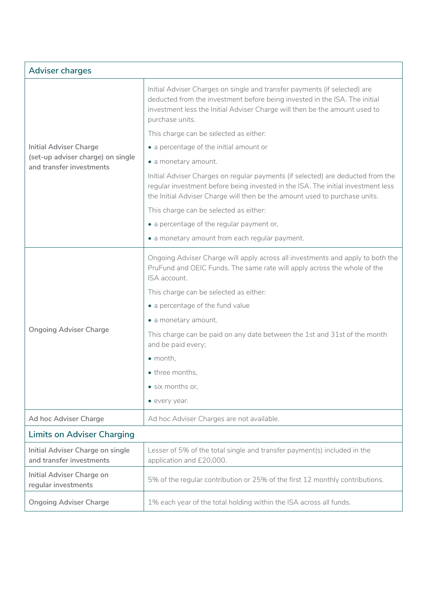| <b>Adviser charges</b>                                        |                                                                                                                                                                                                                                                          |  |
|---------------------------------------------------------------|----------------------------------------------------------------------------------------------------------------------------------------------------------------------------------------------------------------------------------------------------------|--|
|                                                               | Initial Adviser Charges on single and transfer payments (if selected) are<br>deducted from the investment before being invested in the ISA. The initial<br>investment less the Initial Adviser Charge will then be the amount used to<br>purchase units. |  |
|                                                               | This charge can be selected as either:                                                                                                                                                                                                                   |  |
| <b>Initial Adviser Charge</b>                                 | • a percentage of the initial amount or                                                                                                                                                                                                                  |  |
| (set-up adviser charge) on single<br>and transfer investments | • a monetary amount.                                                                                                                                                                                                                                     |  |
|                                                               | Initial Adviser Charges on regular payments (if selected) are deducted from the<br>regular investment before being invested in the ISA. The initial investment less<br>the Initial Adviser Charge will then be the amount used to purchase units.        |  |
|                                                               | This charge can be selected as either:                                                                                                                                                                                                                   |  |
|                                                               | • a percentage of the regular payment or,                                                                                                                                                                                                                |  |
|                                                               | • a monetary amount from each regular payment.                                                                                                                                                                                                           |  |
|                                                               | Ongoing Adviser Charge will apply across all investments and apply to both the<br>PruFund and OEIC Funds. The same rate will apply across the whole of the<br>ISA account.                                                                               |  |
|                                                               | This charge can be selected as either:                                                                                                                                                                                                                   |  |
|                                                               | • a percentage of the fund value                                                                                                                                                                                                                         |  |
|                                                               | • a monetary amount.                                                                                                                                                                                                                                     |  |
| <b>Ongoing Adviser Charge</b>                                 | This charge can be paid on any date between the 1st and 31st of the month<br>and be paid every;                                                                                                                                                          |  |
|                                                               | $\bullet$ month.                                                                                                                                                                                                                                         |  |
|                                                               | • three months,                                                                                                                                                                                                                                          |  |
|                                                               | · six months or,                                                                                                                                                                                                                                         |  |
|                                                               | • every year.                                                                                                                                                                                                                                            |  |
| Ad hoc Adviser Charge                                         | Ad hoc Adviser Charges are not available.                                                                                                                                                                                                                |  |
| <b>Limits on Adviser Charging</b>                             |                                                                                                                                                                                                                                                          |  |
| Initial Adviser Charge on single<br>and transfer investments  | Lesser of 5% of the total single and transfer payment(s) included in the<br>application and £20,000.                                                                                                                                                     |  |
| Initial Adviser Charge on<br>regular investments              | 5% of the regular contribution or 25% of the first 12 monthly contributions.                                                                                                                                                                             |  |
| <b>Ongoing Adviser Charge</b>                                 | 1% each year of the total holding within the ISA across all funds.                                                                                                                                                                                       |  |